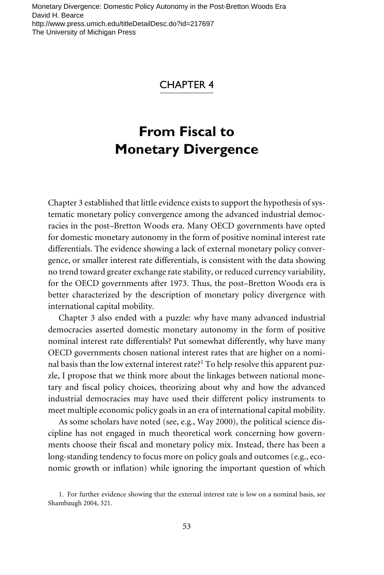## CHAPTER 4

# **From Fiscal to Monetary Divergence**

Chapter 3 established that little evidence exists to support the hypothesis of systematic monetary policy convergence among the advanced industrial democracies in the post–Bretton Woods era. Many OECD governments have opted for domestic monetary autonomy in the form of positive nominal interest rate differentials. The evidence showing a lack of external monetary policy convergence, or smaller interest rate differentials, is consistent with the data showing no trend toward greater exchange rate stability, or reduced currency variability, for the OECD governments after 1973. Thus, the post–Bretton Woods era is better characterized by the description of monetary policy divergence with international capital mobility.

Chapter 3 also ended with a puzzle: why have many advanced industrial democracies asserted domestic monetary autonomy in the form of positive nominal interest rate differentials? Put somewhat differently, why have many OECD governments chosen national interest rates that are higher on a nominal basis than the low external interest rate?<sup>1</sup> To help resolve this apparent puzzle, I propose that we think more about the linkages between national monetary and fiscal policy choices, theorizing about why and how the advanced industrial democracies may have used their different policy instruments to meet multiple economic policy goals in an era of international capital mobility.

As some scholars have noted (see, e.g., Way 2000), the political science discipline has not engaged in much theoretical work concerning how governments choose their fiscal and monetary policy mix. Instead, there has been a long-standing tendency to focus more on policy goals and outcomes (e.g., economic growth or inflation) while ignoring the important question of which

<sup>1.</sup> For further evidence showing that the external interest rate is low on a nominal basis, see Shambaugh 2004, 321.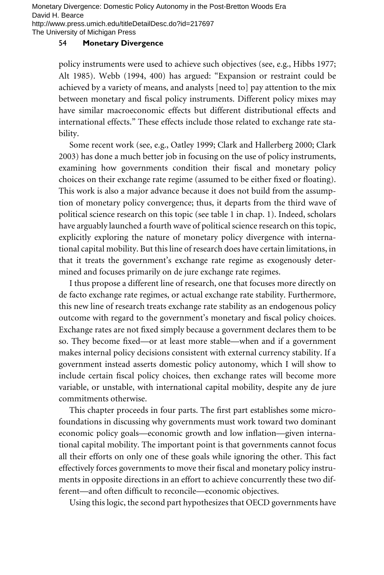## 54 **Monetary Divergence**

policy instruments were used to achieve such objectives (see, e.g., Hibbs 1977; Alt 1985). Webb (1994, 400) has argued: "Expansion or restraint could be achieved by a variety of means, and analysts [need to] pay attention to the mix between monetary and fiscal policy instruments. Different policy mixes may have similar macroeconomic effects but different distributional effects and international effects." These effects include those related to exchange rate stability.

Some recent work (see, e.g., Oatley 1999; Clark and Hallerberg 2000; Clark 2003) has done a much better job in focusing on the use of policy instruments, examining how governments condition their fiscal and monetary policy choices on their exchange rate regime (assumed to be either fixed or floating). This work is also a major advance because it does not build from the assumption of monetary policy convergence; thus, it departs from the third wave of political science research on this topic (see table 1 in chap. 1). Indeed, scholars have arguably launched a fourth wave of political science research on this topic, explicitly exploring the nature of monetary policy divergence with international capital mobility. But this line of research does have certain limitations, in that it treats the government's exchange rate regime as exogenously determined and focuses primarily on de jure exchange rate regimes.

I thus propose a different line of research, one that focuses more directly on de facto exchange rate regimes, or actual exchange rate stability. Furthermore, this new line of research treats exchange rate stability as an endogenous policy outcome with regard to the government's monetary and fiscal policy choices. Exchange rates are not fixed simply because a government declares them to be so. They become fixed—or at least more stable—when and if a government makes internal policy decisions consistent with external currency stability. If a government instead asserts domestic policy autonomy, which I will show to include certain fiscal policy choices, then exchange rates will become more variable, or unstable, with international capital mobility, despite any de jure commitments otherwise.

This chapter proceeds in four parts. The first part establishes some microfoundations in discussing why governments must work toward two dominant economic policy goals—economic growth and low inflation—given international capital mobility. The important point is that governments cannot focus all their efforts on only one of these goals while ignoring the other. This fact effectively forces governments to move their fiscal and monetary policy instruments in opposite directions in an effort to achieve concurrently these two different—and often difficult to reconcile—economic objectives.

Using this logic, the second part hypothesizes that OECD governments have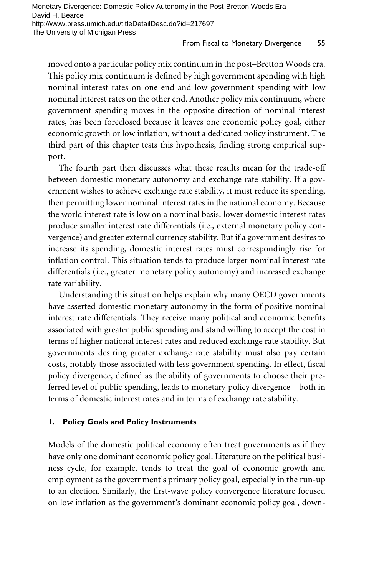moved onto a particular policy mix continuum in the post–Bretton Woods era. This policy mix continuum is defined by high government spending with high nominal interest rates on one end and low government spending with low nominal interest rates on the other end. Another policy mix continuum, where government spending moves in the opposite direction of nominal interest rates, has been foreclosed because it leaves one economic policy goal, either economic growth or low inflation, without a dedicated policy instrument. The third part of this chapter tests this hypothesis, finding strong empirical support.

The fourth part then discusses what these results mean for the trade-off between domestic monetary autonomy and exchange rate stability. If a government wishes to achieve exchange rate stability, it must reduce its spending, then permitting lower nominal interest rates in the national economy. Because the world interest rate is low on a nominal basis, lower domestic interest rates produce smaller interest rate differentials (i.e., external monetary policy convergence) and greater external currency stability. But if a government desires to increase its spending, domestic interest rates must correspondingly rise for inflation control. This situation tends to produce larger nominal interest rate differentials (i.e., greater monetary policy autonomy) and increased exchange rate variability.

Understanding this situation helps explain why many OECD governments have asserted domestic monetary autonomy in the form of positive nominal interest rate differentials. They receive many political and economic benefits associated with greater public spending and stand willing to accept the cost in terms of higher national interest rates and reduced exchange rate stability. But governments desiring greater exchange rate stability must also pay certain costs, notably those associated with less government spending. In effect, fiscal policy divergence, defined as the ability of governments to choose their preferred level of public spending, leads to monetary policy divergence—both in terms of domestic interest rates and in terms of exchange rate stability.

#### **1. Policy Goals and Policy Instruments**

Models of the domestic political economy often treat governments as if they have only one dominant economic policy goal. Literature on the political business cycle, for example, tends to treat the goal of economic growth and employment as the government's primary policy goal, especially in the run-up to an election. Similarly, the first-wave policy convergence literature focused on low inflation as the government's dominant economic policy goal, down-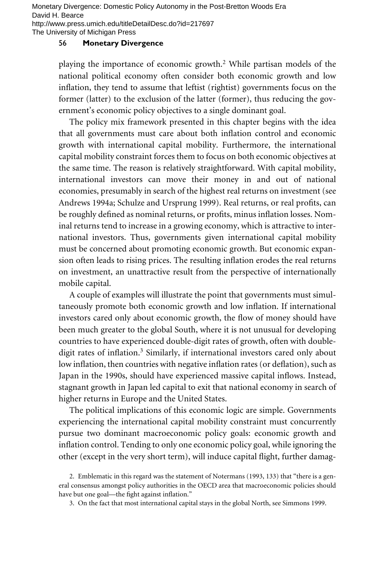#### 56 **Monetary Divergence**

playing the importance of economic growth.2 While partisan models of the national political economy often consider both economic growth and low inflation, they tend to assume that leftist (rightist) governments focus on the former (latter) to the exclusion of the latter (former), thus reducing the government's economic policy objectives to a single dominant goal.

The policy mix framework presented in this chapter begins with the idea that all governments must care about both inflation control and economic growth with international capital mobility. Furthermore, the international capital mobility constraint forces them to focus on both economic objectives at the same time. The reason is relatively straightforward. With capital mobility, international investors can move their money in and out of national economies, presumably in search of the highest real returns on investment (see Andrews 1994a; Schulze and Ursprung 1999). Real returns, or real profits, can be roughly defined as nominal returns, or profits, minus inflation losses. Nominal returns tend to increase in a growing economy, which is attractive to international investors. Thus, governments given international capital mobility must be concerned about promoting economic growth. But economic expansion often leads to rising prices. The resulting inflation erodes the real returns on investment, an unattractive result from the perspective of internationally mobile capital.

A couple of examples will illustrate the point that governments must simultaneously promote both economic growth and low inflation. If international investors cared only about economic growth, the flow of money should have been much greater to the global South, where it is not unusual for developing countries to have experienced double-digit rates of growth, often with doubledigit rates of inflation.<sup>3</sup> Similarly, if international investors cared only about low inflation, then countries with negative inflation rates (or deflation), such as Japan in the 1990s, should have experienced massive capital inflows. Instead, stagnant growth in Japan led capital to exit that national economy in search of higher returns in Europe and the United States.

The political implications of this economic logic are simple. Governments experiencing the international capital mobility constraint must concurrently pursue two dominant macroeconomic policy goals: economic growth and inflation control. Tending to only one economic policy goal, while ignoring the other (except in the very short term), will induce capital flight, further damag-

3. On the fact that most international capital stays in the global North, see Simmons 1999.

<sup>2.</sup> Emblematic in this regard was the statement of Notermans (1993, 133) that "there is a general consensus amongst policy authorities in the OECD area that macroeconomic policies should have but one goal—the fight against inflation."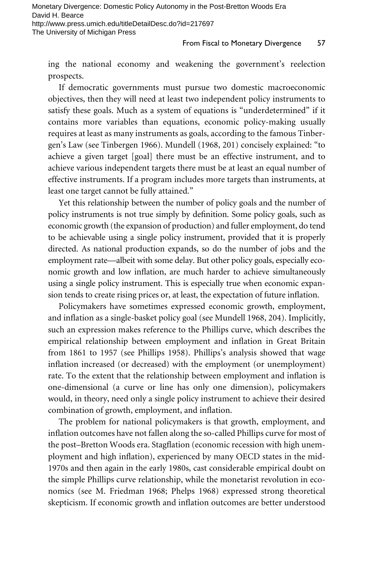ing the national economy and weakening the government's reelection prospects.

If democratic governments must pursue two domestic macroeconomic objectives, then they will need at least two independent policy instruments to satisfy these goals. Much as a system of equations is "underdetermined" if it contains more variables than equations, economic policy-making usually requires at least as many instruments as goals, according to the famous Tinbergen's Law (see Tinbergen 1966). Mundell (1968, 201) concisely explained: "to achieve a given target [goal] there must be an effective instrument, and to achieve various independent targets there must be at least an equal number of effective instruments. If a program includes more targets than instruments, at least one target cannot be fully attained."

Yet this relationship between the number of policy goals and the number of policy instruments is not true simply by definition. Some policy goals, such as economic growth (the expansion of production) and fuller employment, do tend to be achievable using a single policy instrument, provided that it is properly directed. As national production expands, so do the number of jobs and the employment rate—albeit with some delay. But other policy goals, especially economic growth and low inflation, are much harder to achieve simultaneously using a single policy instrument. This is especially true when economic expansion tends to create rising prices or, at least, the expectation of future inflation.

Policymakers have sometimes expressed economic growth, employment, and inflation as a single-basket policy goal (see Mundell 1968, 204). Implicitly, such an expression makes reference to the Phillips curve, which describes the empirical relationship between employment and inflation in Great Britain from 1861 to 1957 (see Phillips 1958). Phillips's analysis showed that wage inflation increased (or decreased) with the employment (or unemployment) rate. To the extent that the relationship between employment and inflation is one-dimensional (a curve or line has only one dimension), policymakers would, in theory, need only a single policy instrument to achieve their desired combination of growth, employment, and inflation.

The problem for national policymakers is that growth, employment, and inflation outcomes have not fallen along the so-called Phillips curve for most of the post-Bretton Woods era. Stagflation (economic recession with high unemployment and high inflation), experienced by many OECD states in the mid-1970s and then again in the early 1980s, cast considerable empirical doubt on the simple Phillips curve relationship, while the monetarist revolution in economics (see M. Friedman 1968; Phelps 1968) expressed strong theoretical skepticism. If economic growth and inflation outcomes are better understood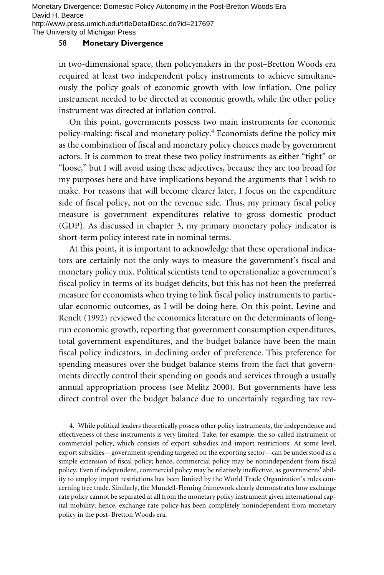## 58 **Monetary Divergence**

in two-dimensional space, then policymakers in the post–Bretton Woods era required at least two independent policy instruments to achieve simultaneously the policy goals of economic growth with low inflation. One policy instrument needed to be directed at economic growth, while the other policy instrument was directed at inflation control.

On this point, governments possess two main instruments for economic policy-making: fiscal and monetary policy.<sup>4</sup> Economists define the policy mix as the combination of fiscal and monetary policy choices made by government actors. It is common to treat these two policy instruments as either "tight" or "loose," but I will avoid using these adjectives, because they are too broad for my purposes here and have implications beyond the arguments that I wish to make. For reasons that will become clearer later, I focus on the expenditure side of fiscal policy, not on the revenue side. Thus, my primary fiscal policy measure is government expenditures relative to gross domestic product (GDP). As discussed in chapter 3, my primary monetary policy indicator is short-term policy interest rate in nominal terms.

At this point, it is important to acknowledge that these operational indicators are certainly not the only ways to measure the government's fiscal and monetary policy mix. Political scientists tend to operationalize a government's fiscal policy in terms of its budget deficits, but this has not been the preferred measure for economists when trying to link fiscal policy instruments to particular economic outcomes, as I will be doing here. On this point, Levine and Renelt (1992) reviewed the economics literature on the determinants of longrun economic growth, reporting that government consumption expenditures, total government expenditures, and the budget balance have been the main fiscal policy indicators, in declining order of preference. This preference for spending measures over the budget balance stems from the fact that governments directly control their spending on goods and services through a usually annual appropriation process (see Melitz 2000). But governments have less direct control over the budget balance due to uncertainly regarding tax rev-

4. While political leaders theoretically possess other policy instruments, the independence and effectiveness of these instruments is very limited. Take, for example, the so-called instrument of commercial policy, which consists of export subsidies and import restrictions. At some level, export subsidies—government spending targeted on the exporting sector—can be understood as a simple extension of fiscal policy; hence, commercial policy may be nonindependent from fiscal policy. Even if independent, commercial policy may be relatively ineffective, as governments' ability to employ import restrictions has been limited by the World Trade Organization's rules concerning free trade. Similarly, the Mundell-Fleming framework clearly demonstrates how exchange rate policy cannot be separated at all from the monetary policy instrument given international capital mobility; hence, exchange rate policy has been completely nonindependent from monetary policy in the post–Bretton Woods era.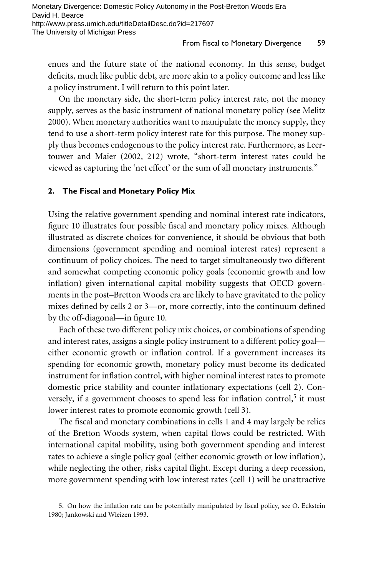enues and the future state of the national economy. In this sense, budget deficits, much like public debt, are more akin to a policy outcome and less like a policy instrument. I will return to this point later.

On the monetary side, the short-term policy interest rate, not the money supply, serves as the basic instrument of national monetary policy (see Melitz 2000). When monetary authorities want to manipulate the money supply, they tend to use a short-term policy interest rate for this purpose. The money supply thus becomes endogenous to the policy interest rate. Furthermore, as Leertouwer and Maier (2002, 212) wrote, "short-term interest rates could be viewed as capturing the 'net effect' or the sum of all monetary instruments."

#### **2. The Fiscal and Monetary Policy Mix**

Using the relative government spending and nominal interest rate indicators, figure 10 illustrates four possible fiscal and monetary policy mixes. Although illustrated as discrete choices for convenience, it should be obvious that both dimensions (government spending and nominal interest rates) represent a continuum of policy choices. The need to target simultaneously two different and somewhat competing economic policy goals (economic growth and low inflation) given international capital mobility suggests that OECD governments in the post–Bretton Woods era are likely to have gravitated to the policy mixes defined by cells 2 or 3—or, more correctly, into the continuum defined by the off-diagonal—in figure 10.

Each of these two different policy mix choices, or combinations of spending and interest rates, assigns a single policy instrument to a different policy goal either economic growth or inflation control. If a government increases its spending for economic growth, monetary policy must become its dedicated instrument for inflation control, with higher nominal interest rates to promote domestic price stability and counter inflationary expectations (cell 2). Conversely, if a government chooses to spend less for inflation control,<sup>5</sup> it must lower interest rates to promote economic growth (cell 3).

The fiscal and monetary combinations in cells 1 and 4 may largely be relics of the Bretton Woods system, when capital flows could be restricted. With international capital mobility, using both government spending and interest rates to achieve a single policy goal (either economic growth or low inflation), while neglecting the other, risks capital flight. Except during a deep recession, more government spending with low interest rates (cell 1) will be unattractive

<sup>5.</sup> On how the inflation rate can be potentially manipulated by fiscal policy, see O. Eckstein 1980; Jankowski and Wleizen 1993.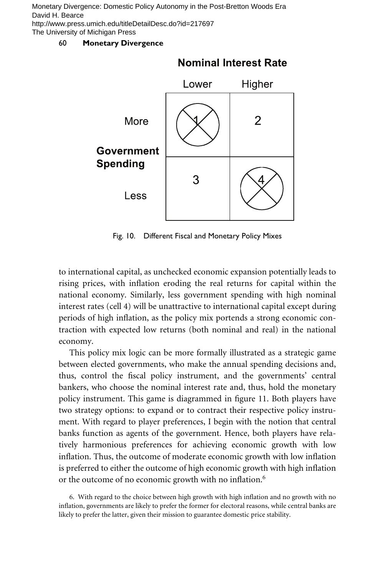## 60 **Monetary Divergence**



# **Nominal Interest Rate**

Fig. 10. Different Fiscal and Monetary Policy Mixes

to international capital, as unchecked economic expansion potentially leads to rising prices, with inflation eroding the real returns for capital within the national economy. Similarly, less government spending with high nominal interest rates (cell 4) will be unattractive to international capital except during periods of high inflation, as the policy mix portends a strong economic contraction with expected low returns (both nominal and real) in the national economy.

This policy mix logic can be more formally illustrated as a strategic game between elected governments, who make the annual spending decisions and, thus, control the fiscal policy instrument, and the governments' central bankers, who choose the nominal interest rate and, thus, hold the monetary policy instrument. This game is diagrammed in figure 11. Both players have two strategy options: to expand or to contract their respective policy instrument. With regard to player preferences, I begin with the notion that central banks function as agents of the government. Hence, both players have relatively harmonious preferences for achieving economic growth with low inflation. Thus, the outcome of moderate economic growth with low inflation is preferred to either the outcome of high economic growth with high inflation or the outcome of no economic growth with no inflation.<sup>6</sup>

<sup>6.</sup> With regard to the choice between high growth with high inflation and no growth with no inflation, governments are likely to prefer the former for electoral reasons, while central banks are likely to prefer the latter, given their mission to guarantee domestic price stability.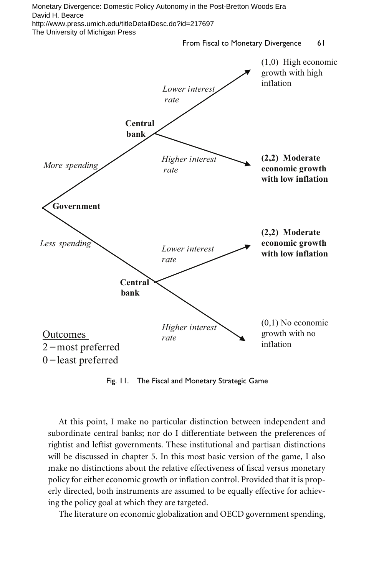

Fig. 11. The Fiscal and Monetary Strategic Game

At this point, I make no particular distinction between independent and subordinate central banks; nor do I differentiate between the preferences of rightist and leftist governments. These institutional and partisan distinctions will be discussed in chapter 5. In this most basic version of the game, I also make no distinctions about the relative effectiveness of fiscal versus monetary policy for either economic growth or inflation control. Provided that it is properly directed, both instruments are assumed to be equally effective for achieving the policy goal at which they are targeted.

The literature on economic globalization and OECD government spending,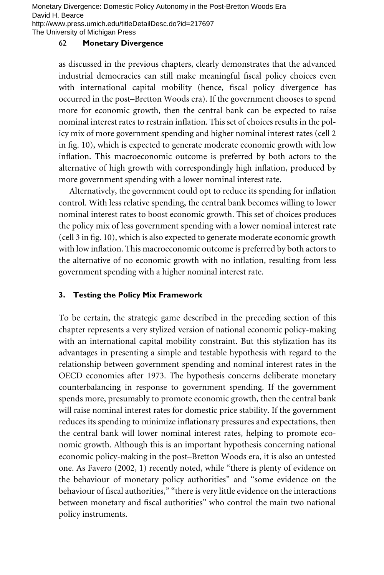## 62 **Monetary Divergence**

as discussed in the previous chapters, clearly demonstrates that the advanced industrial democracies can still make meaningful fiscal policy choices even with international capital mobility (hence, fiscal policy divergence has occurred in the post–Bretton Woods era). If the government chooses to spend more for economic growth, then the central bank can be expected to raise nominal interest rates to restrain inflation. This set of choices results in the policy mix of more government spending and higher nominal interest rates (cell 2 in fig. 10), which is expected to generate moderate economic growth with low inflation. This macroeconomic outcome is preferred by both actors to the alternative of high growth with correspondingly high inflation, produced by more government spending with a lower nominal interest rate.

Alternatively, the government could opt to reduce its spending for inflation control. With less relative spending, the central bank becomes willing to lower nominal interest rates to boost economic growth. This set of choices produces the policy mix of less government spending with a lower nominal interest rate  $(cell 3 in fig. 10)$ , which is also expected to generate moderate economic growth with low inflation. This macroeconomic outcome is preferred by both actors to the alternative of no economic growth with no inflation, resulting from less government spending with a higher nominal interest rate.

#### **3. Testing the Policy Mix Framework**

To be certain, the strategic game described in the preceding section of this chapter represents a very stylized version of national economic policy-making with an international capital mobility constraint. But this stylization has its advantages in presenting a simple and testable hypothesis with regard to the relationship between government spending and nominal interest rates in the OECD economies after 1973. The hypothesis concerns deliberate monetary counterbalancing in response to government spending. If the government spends more, presumably to promote economic growth, then the central bank will raise nominal interest rates for domestic price stability. If the government reduces its spending to minimize inflationary pressures and expectations, then the central bank will lower nominal interest rates, helping to promote economic growth. Although this is an important hypothesis concerning national economic policy-making in the post–Bretton Woods era, it is also an untested one. As Favero (2002, 1) recently noted, while "there is plenty of evidence on the behaviour of monetary policy authorities" and "some evidence on the behaviour of fiscal authorities," "there is very little evidence on the interactions between monetary and fiscal authorities" who control the main two national policy instruments.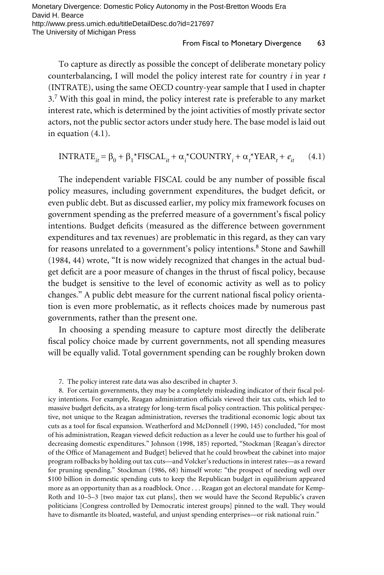To capture as directly as possible the concept of deliberate monetary policy counterbalancing, I will model the policy interest rate for country *i* in year *t* (INTRATE), using the same OECD country-year sample that I used in chapter 3.7 With this goal in mind, the policy interest rate is preferable to any market interest rate, which is determined by the joint activities of mostly private sector actors, not the public sector actors under study here. The base model is laid out in equation (4.1).

$$
INTERATE_{it} = \beta_0 + \beta_1 * FISCAL_{it} + \alpha_i * COUNTRY_i + \alpha_t * YEAR_t + e_{it}
$$
 (4.1)

The independent variable FISCAL could be any number of possible fiscal policy measures, including government expenditures, the budget deficit, or even public debt. But as discussed earlier, my policy mix framework focuses on government spending as the preferred measure of a government's fiscal policy intentions. Budget deficits (measured as the difference between government expenditures and tax revenues) are problematic in this regard, as they can vary for reasons unrelated to a government's policy intentions.<sup>8</sup> Stone and Sawhill (1984, 44) wrote, "It is now widely recognized that changes in the actual budget deficit are a poor measure of changes in the thrust of fiscal policy, because the budget is sensitive to the level of economic activity as well as to policy changes." A public debt measure for the current national fiscal policy orientation is even more problematic, as it reflects choices made by numerous past governments, rather than the present one.

In choosing a spending measure to capture most directly the deliberate fiscal policy choice made by current governments, not all spending measures will be equally valid. Total government spending can be roughly broken down

7. The policy interest rate data was also described in chapter 3.

8. For certain governments, they may be a completely misleading indicator of their fiscal policy intentions. For example, Reagan administration officials viewed their tax cuts, which led to massive budget deficits, as a strategy for long-term fiscal policy contraction. This political perspective, not unique to the Reagan administration, reverses the traditional economic logic about tax cuts as a tool for fiscal expansion. Weatherford and McDonnell (1990, 145) concluded, "for most of his administration, Reagan viewed deficit reduction as a lever he could use to further his goal of decreasing domestic expenditures." Johnson (1998, 185) reported, "Stockman [Reagan's director of the Office of Management and Budget] believed that he could browbeat the cabinet into major program rollbacks by holding out tax cuts—and Volcker's reductions in interest rates—as a reward for pruning spending." Stockman (1986, 68) himself wrote: "the prospect of needing well over \$100 billion in domestic spending cuts to keep the Republican budget in equilibrium appeared more as an opportunity than as a roadblock. Once . . . Reagan got an electoral mandate for Kemp-Roth and 10–5–3 [two major tax cut plans], then we would have the Second Republic's craven politicians [Congress controlled by Democratic interest groups] pinned to the wall. They would have to dismantle its bloated, wasteful, and unjust spending enterprises-or risk national ruin."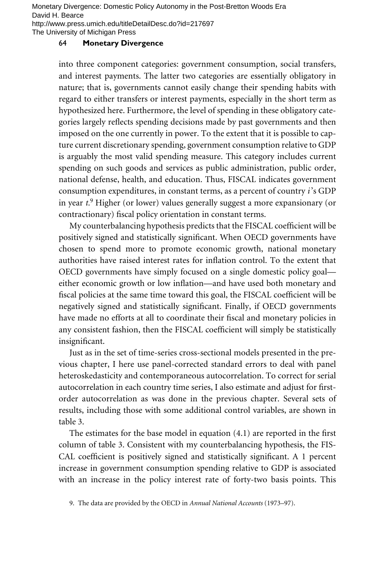## 64 **Monetary Divergence**

into three component categories: government consumption, social transfers, and interest payments. The latter two categories are essentially obligatory in nature; that is, governments cannot easily change their spending habits with regard to either transfers or interest payments, especially in the short term as hypothesized here. Furthermore, the level of spending in these obligatory categories largely reflects spending decisions made by past governments and then imposed on the one currently in power. To the extent that it is possible to capture current discretionary spending, government consumption relative to GDP is arguably the most valid spending measure. This category includes current spending on such goods and services as public administration, public order, national defense, health, and education. Thus, FISCAL indicates government consumption expenditures, in constant terms, as a percent of country *i* 's GDP in year *t.*<sup>9</sup> Higher (or lower) values generally suggest a more expansionary (or contractionary) fiscal policy orientation in constant terms.

My counterbalancing hypothesis predicts that the FISCAL coefficient will be positively signed and statistically significant. When OECD governments have chosen to spend more to promote economic growth, national monetary authorities have raised interest rates for inflation control. To the extent that OECD governments have simply focused on a single domestic policy goal either economic growth or low inflation—and have used both monetary and fiscal policies at the same time toward this goal, the FISCAL coefficient will be negatively signed and statistically significant. Finally, if OECD governments have made no efforts at all to coordinate their fiscal and monetary policies in any consistent fashion, then the FISCAL coefficient will simply be statistically insignificant.

Just as in the set of time-series cross-sectional models presented in the previous chapter, I here use panel-corrected standard errors to deal with panel heteroskedasticity and contemporaneous autocorrelation. To correct for serial autocorrelation in each country time series, I also estimate and adjust for firstorder autocorrelation as was done in the previous chapter. Several sets of results, including those with some additional control variables, are shown in table 3.

The estimates for the base model in equation  $(4.1)$  are reported in the first column of table 3. Consistent with my counterbalancing hypothesis, the FIS-CAL coefficient is positively signed and statistically significant. A 1 percent increase in government consumption spending relative to GDP is associated with an increase in the policy interest rate of forty-two basis points. This

9. The data are provided by the OECD in *Annual National Accounts* (1973–97).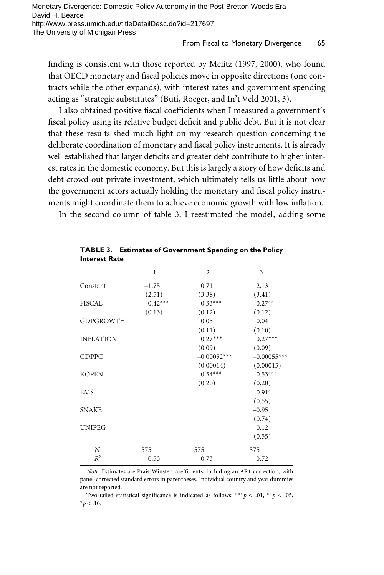finding is consistent with those reported by Melitz (1997, 2000), who found that OECD monetary and fiscal policies move in opposite directions (one contracts while the other expands), with interest rates and government spending acting as "strategic substitutes" (Buti, Roeger, and In't Veld 2001, 3).

I also obtained positive fiscal coefficients when I measured a government's fiscal policy using its relative budget deficit and public debt. But it is not clear that these results shed much light on my research question concerning the deliberate coordination of monetary and fiscal policy instruments. It is already well established that larger deficits and greater debt contribute to higher interest rates in the domestic economy. But this is largely a story of how deficits and debt crowd out private investment, which ultimately tells us little about how the government actors actually holding the monetary and fiscal policy instruments might coordinate them to achieve economic growth with low inflation.

In the second column of table 3, I reestimated the model, adding some

|                  | $\mathbf{1}$ | $\overline{c}$ | 3             |
|------------------|--------------|----------------|---------------|
| Constant         | $-1.75$      | 0.71           | 2.13          |
|                  | (2.51)       | (3.38)         | (3.41)        |
| <b>FISCAL</b>    | $0.42***$    | $0.33***$      | $0.27**$      |
|                  | (0.13)       | (0.12)         | (0.12)        |
| <b>GDPGROWTH</b> |              | 0.05           | 0.04          |
|                  |              | (0.11)         | (0.10)        |
| <b>INFLATION</b> |              | $0.27***$      | $0.27***$     |
|                  |              | (0.09)         | (0.09)        |
| <b>GDPPC</b>     |              | $-0.00052***$  | $-0.00055***$ |
|                  |              | (0.00014)      | (0.00015)     |
| <b>KOPEN</b>     |              | $0.54***$      | $0.53***$     |
|                  |              | (0.20)         | (0.20)        |
| <b>EMS</b>       |              |                | $-0.91*$      |
|                  |              |                | (0.55)        |
| <b>SNAKE</b>     |              |                | $-0.95$       |
|                  |              |                | (0.74)        |
| <b>UNIPEG</b>    |              |                | 0.12          |
|                  |              |                | (0.55)        |
| N                | 575          | 575            | 575           |
| $R^2$            | 0.53         | 0.73           | 0.72          |

|               | <b>TABLE 3.</b> Estimates of Government Spending on the Policy |
|---------------|----------------------------------------------------------------|
| Interest Rate |                                                                |

*Note:* Estimates are Prais-Winsten coefficients, including an AR1 correction, with panel-corrected standard errors in parentheses. Individual country and year dummies are not reported.

Two-tailed statistical significance is indicated as follows: \*\*\**p* < .01, \*\**p* < .05,  $*$ *p* < .10.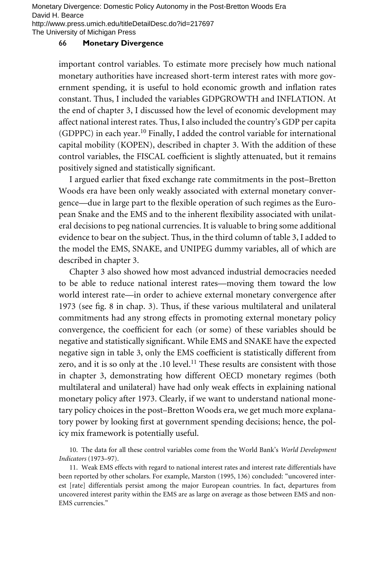#### 66 **Monetary Divergence**

important control variables. To estimate more precisely how much national monetary authorities have increased short-term interest rates with more government spending, it is useful to hold economic growth and inflation rates constant. Thus, I included the variables GDPGROWTH and INFLATION. At the end of chapter 3, I discussed how the level of economic development may affect national interest rates. Thus, I also included the country's GDP per capita (GDPPC) in each year.<sup>10</sup> Finally, I added the control variable for international capital mobility (KOPEN), described in chapter 3. With the addition of these control variables, the FISCAL coefficient is slightly attenuated, but it remains positively signed and statistically significant.

I argued earlier that fixed exchange rate commitments in the post–Bretton Woods era have been only weakly associated with external monetary convergence—due in large part to the flexible operation of such regimes as the European Snake and the EMS and to the inherent flexibility associated with unilateral decisions to peg national currencies. It is valuable to bring some additional evidence to bear on the subject. Thus, in the third column of table 3, I added to the model the EMS, SNAKE, and UNIPEG dummy variables, all of which are described in chapter 3.

Chapter 3 also showed how most advanced industrial democracies needed to be able to reduce national interest rates—moving them toward the low world interest rate—in order to achieve external monetary convergence after 1973 (see fig. 8 in chap. 3). Thus, if these various multilateral and unilateral commitments had any strong effects in promoting external monetary policy convergence, the coefficient for each (or some) of these variables should be negative and statistically significant. While EMS and SNAKE have the expected negative sign in table 3, only the EMS coefficient is statistically different from zero, and it is so only at the .10 level.<sup>11</sup> These results are consistent with those in chapter 3, demonstrating how different OECD monetary regimes (both multilateral and unilateral) have had only weak effects in explaining national monetary policy after 1973. Clearly, if we want to understand national monetary policy choices in the post–Bretton Woods era, we get much more explanatory power by looking first at government spending decisions; hence, the policy mix framework is potentially useful.

10. The data for all these control variables come from the World Bank's *World Development Indicators* (1973–97).

11. Weak EMS effects with regard to national interest rates and interest rate differentials have been reported by other scholars. For example, Marston (1995, 136) concluded: "uncovered interest [rate] differentials persist among the major European countries. In fact, departures from uncovered interest parity within the EMS are as large on average as those between EMS and non-EMS currencies."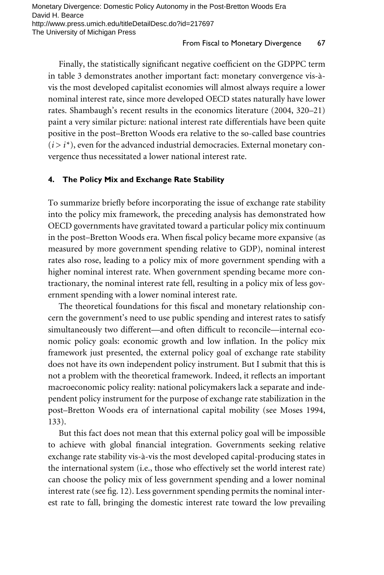Finally, the statistically significant negative coefficient on the GDPPC term in table 3 demonstrates another important fact: monetary convergence vis-àvis the most developed capitalist economies will almost always require a lower nominal interest rate, since more developed OECD states naturally have lower rates. Shambaugh's recent results in the economics literature (2004, 320–21) paint a very similar picture: national interest rate differentials have been quite positive in the post–Bretton Woods era relative to the so-called base countries  $(i > i^*)$ , even for the advanced industrial democracies. External monetary convergence thus necessitated a lower national interest rate.

#### **4. The Policy Mix and Exchange Rate Stability**

To summarize briefly before incorporating the issue of exchange rate stability into the policy mix framework, the preceding analysis has demonstrated how OECD governments have gravitated toward a particular policy mix continuum in the post–Bretton Woods era. When fiscal policy became more expansive (as measured by more government spending relative to GDP), nominal interest rates also rose, leading to a policy mix of more government spending with a higher nominal interest rate. When government spending became more contractionary, the nominal interest rate fell, resulting in a policy mix of less government spending with a lower nominal interest rate.

The theoretical foundations for this fiscal and monetary relationship concern the government's need to use public spending and interest rates to satisfy simultaneously two different—and often difficult to reconcile—internal economic policy goals: economic growth and low inflation. In the policy mix framework just presented, the external policy goal of exchange rate stability does not have its own independent policy instrument. But I submit that this is not a problem with the theoretical framework. Indeed, it reflects an important macroeconomic policy reality: national policymakers lack a separate and independent policy instrument for the purpose of exchange rate stabilization in the post–Bretton Woods era of international capital mobility (see Moses 1994, 133).

But this fact does not mean that this external policy goal will be impossible to achieve with global financial integration. Governments seeking relative exchange rate stability vis-à-vis the most developed capital-producing states in the international system (i.e., those who effectively set the world interest rate) can choose the policy mix of less government spending and a lower nominal interest rate (see fig. 12). Less government spending permits the nominal interest rate to fall, bringing the domestic interest rate toward the low prevailing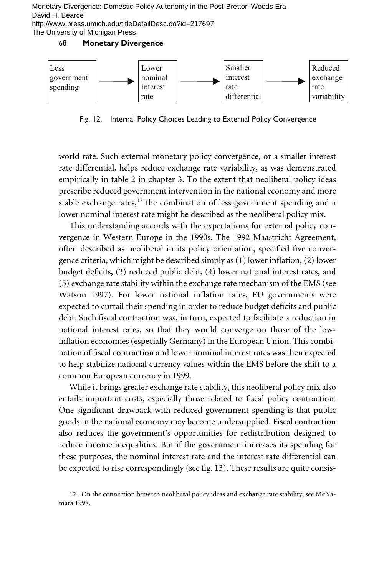

Fig. 12. Internal Policy Choices Leading to External Policy Convergence

world rate. Such external monetary policy convergence, or a smaller interest rate differential, helps reduce exchange rate variability, as was demonstrated empirically in table 2 in chapter 3. To the extent that neoliberal policy ideas prescribe reduced government intervention in the national economy and more stable exchange rates, $12$  the combination of less government spending and a lower nominal interest rate might be described as the neoliberal policy mix.

This understanding accords with the expectations for external policy convergence in Western Europe in the 1990s. The 1992 Maastricht Agreement, often described as neoliberal in its policy orientation, specified five convergence criteria, which might be described simply as  $(1)$  lower inflation,  $(2)$  lower budget deficits,  $(3)$  reduced public debt,  $(4)$  lower national interest rates, and (5) exchange rate stability within the exchange rate mechanism of the EMS (see Watson 1997). For lower national inflation rates, EU governments were expected to curtail their spending in order to reduce budget deficits and public debt. Such fiscal contraction was, in turn, expected to facilitate a reduction in national interest rates, so that they would converge on those of the lowinflation economies (especially Germany) in the European Union. This combination of fiscal contraction and lower nominal interest rates was then expected to help stabilize national currency values within the EMS before the shift to a common European currency in 1999.

While it brings greater exchange rate stability, this neoliberal policy mix also entails important costs, especially those related to fiscal policy contraction. One significant drawback with reduced government spending is that public goods in the national economy may become undersupplied. Fiscal contraction also reduces the government's opportunities for redistribution designed to reduce income inequalities. But if the government increases its spending for these purposes, the nominal interest rate and the interest rate differential can be expected to rise correspondingly (see fig. 13). These results are quite consis-

<sup>12.</sup> On the connection between neoliberal policy ideas and exchange rate stability, see McNamara 1998.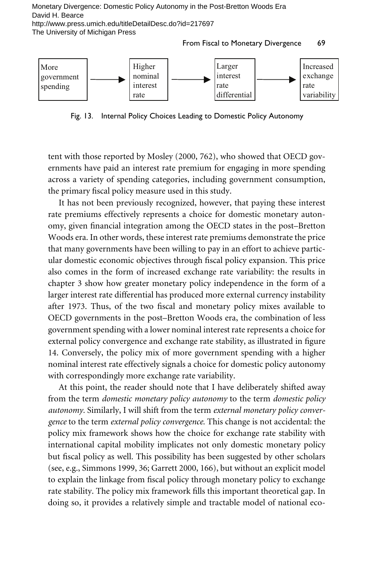

From Fiscal to Monetary Divergence 69

Fig. 13. Internal Policy Choices Leading to Domestic Policy Autonomy

tent with those reported by Mosley (2000, 762), who showed that OECD governments have paid an interest rate premium for engaging in more spending across a variety of spending categories, including government consumption, the primary fiscal policy measure used in this study.

It has not been previously recognized, however, that paying these interest rate premiums effectively represents a choice for domestic monetary autonomy, given financial integration among the OECD states in the post–Bretton Woods era. In other words, these interest rate premiums demonstrate the price that many governments have been willing to pay in an effort to achieve particular domestic economic objectives through fiscal policy expansion. This price also comes in the form of increased exchange rate variability: the results in chapter 3 show how greater monetary policy independence in the form of a larger interest rate differential has produced more external currency instability after 1973. Thus, of the two fiscal and monetary policy mixes available to OECD governments in the post–Bretton Woods era, the combination of less government spending with a lower nominal interest rate represents a choice for external policy convergence and exchange rate stability, as illustrated in figure 14. Conversely, the policy mix of more government spending with a higher nominal interest rate effectively signals a choice for domestic policy autonomy with correspondingly more exchange rate variability.

At this point, the reader should note that I have deliberately shifted away from the term *domestic monetary policy autonomy* to the term *domestic policy autonomy.* Similarly, I will shift from the term *external monetary policy convergence* to the term *external policy convergence.* This change is not accidental: the policy mix framework shows how the choice for exchange rate stability with international capital mobility implicates not only domestic monetary policy but fiscal policy as well. This possibility has been suggested by other scholars (see, e.g., Simmons 1999, 36; Garrett 2000, 166), but without an explicit model to explain the linkage from fiscal policy through monetary policy to exchange rate stability. The policy mix framework fills this important theoretical gap. In doing so, it provides a relatively simple and tractable model of national eco-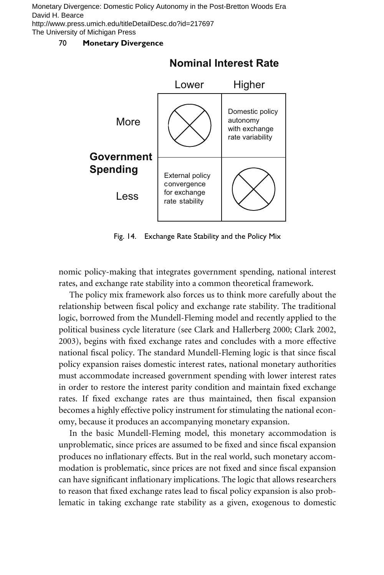## 70 **Monetary Divergence**



## **Nominal Interest Rate**

Fig. 14. Exchange Rate Stability and the Policy Mix

nomic policy-making that integrates government spending, national interest rates, and exchange rate stability into a common theoretical framework.

The policy mix framework also forces us to think more carefully about the relationship between fiscal policy and exchange rate stability. The traditional logic, borrowed from the Mundell-Fleming model and recently applied to the political business cycle literature (see Clark and Hallerberg 2000; Clark 2002, 2003), begins with fixed exchange rates and concludes with a more effective national fiscal policy. The standard Mundell-Fleming logic is that since fiscal policy expansion raises domestic interest rates, national monetary authorities must accommodate increased government spending with lower interest rates in order to restore the interest parity condition and maintain fixed exchange rates. If fixed exchange rates are thus maintained, then fiscal expansion becomes a highly effective policy instrument for stimulating the national economy, because it produces an accompanying monetary expansion.

In the basic Mundell-Fleming model, this monetary accommodation is unproblematic, since prices are assumed to be fixed and since fiscal expansion produces no inflationary effects. But in the real world, such monetary accommodation is problematic, since prices are not fixed and since fiscal expansion can have significant inflationary implications. The logic that allows researchers to reason that fixed exchange rates lead to fiscal policy expansion is also problematic in taking exchange rate stability as a given, exogenous to domestic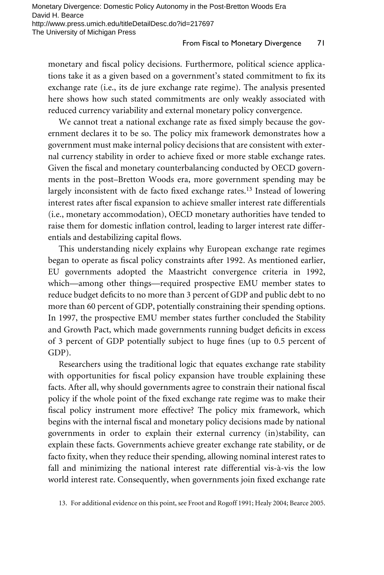monetary and fiscal policy decisions. Furthermore, political science applications take it as a given based on a government's stated commitment to fix its exchange rate (i.e., its de jure exchange rate regime). The analysis presented here shows how such stated commitments are only weakly associated with reduced currency variability and external monetary policy convergence.

We cannot treat a national exchange rate as fixed simply because the government declares it to be so. The policy mix framework demonstrates how a government must make internal policy decisions that are consistent with external currency stability in order to achieve fixed or more stable exchange rates. Given the fiscal and monetary counterbalancing conducted by OECD governments in the post–Bretton Woods era, more government spending may be largely inconsistent with de facto fixed exchange rates.<sup>13</sup> Instead of lowering interest rates after fiscal expansion to achieve smaller interest rate differentials (i.e., monetary accommodation), OECD monetary authorities have tended to raise them for domestic inflation control, leading to larger interest rate differentials and destabilizing capital flows.

This understanding nicely explains why European exchange rate regimes began to operate as fiscal policy constraints after 1992. As mentioned earlier, EU governments adopted the Maastricht convergence criteria in 1992, which—among other things—required prospective EMU member states to reduce budget deficits to no more than 3 percent of GDP and public debt to no more than 60 percent of GDP, potentially constraining their spending options. In 1997, the prospective EMU member states further concluded the Stability and Growth Pact, which made governments running budget deficits in excess of 3 percent of GDP potentially subject to huge fines (up to 0.5 percent of GDP).

Researchers using the traditional logic that equates exchange rate stability with opportunities for fiscal policy expansion have trouble explaining these facts. After all, why should governments agree to constrain their national fiscal policy if the whole point of the fixed exchange rate regime was to make their fiscal policy instrument more effective? The policy mix framework, which begins with the internal fiscal and monetary policy decisions made by national governments in order to explain their external currency (in)stability, can explain these facts. Governments achieve greater exchange rate stability, or de facto fixity, when they reduce their spending, allowing nominal interest rates to fall and minimizing the national interest rate differential vis-à-vis the low world interest rate. Consequently, when governments join fixed exchange rate

13. For additional evidence on this point, see Froot and Rogoff 1991; Healy 2004; Bearce 2005.